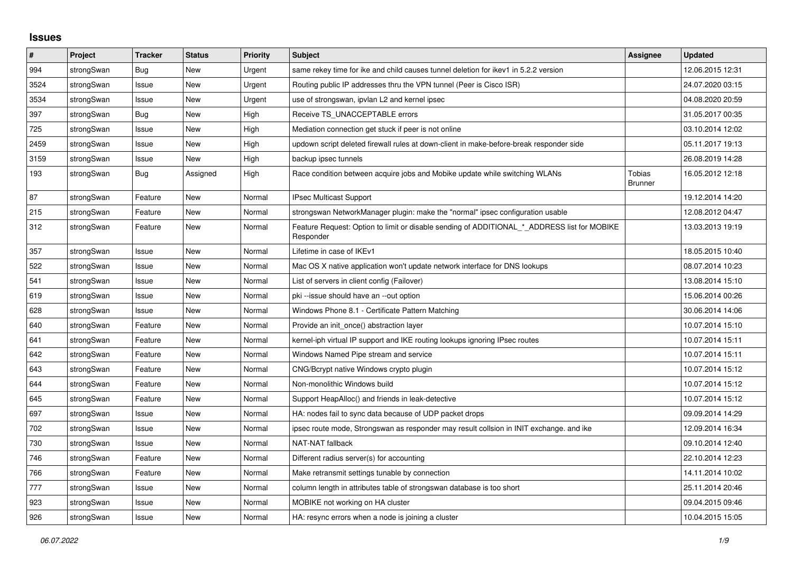## **Issues**

| #    | Project    | <b>Tracker</b> | <b>Status</b> | <b>Priority</b> | <b>Subject</b>                                                                                           | Assignee                        | <b>Updated</b>   |
|------|------------|----------------|---------------|-----------------|----------------------------------------------------------------------------------------------------------|---------------------------------|------------------|
| 994  | strongSwan | <b>Bug</b>     | <b>New</b>    | Urgent          | same rekey time for ike and child causes tunnel deletion for ikev1 in 5.2.2 version                      |                                 | 12.06.2015 12:31 |
| 3524 | strongSwan | Issue          | <b>New</b>    | Urgent          | Routing public IP addresses thru the VPN tunnel (Peer is Cisco ISR)                                      |                                 | 24.07.2020 03:15 |
| 3534 | strongSwan | Issue          | New           | Urgent          | use of strongswan, ipvlan L2 and kernel ipsec                                                            |                                 | 04.08.2020 20:59 |
| 397  | strongSwan | Bug            | <b>New</b>    | High            | Receive TS UNACCEPTABLE errors                                                                           |                                 | 31.05.2017 00:35 |
| 725  | strongSwan | Issue          | <b>New</b>    | High            | Mediation connection get stuck if peer is not online                                                     |                                 | 03.10.2014 12:02 |
| 2459 | strongSwan | Issue          | New           | High            | updown script deleted firewall rules at down-client in make-before-break responder side                  |                                 | 05.11.2017 19:13 |
| 3159 | strongSwan | Issue          | New           | High            | backup ipsec tunnels                                                                                     |                                 | 26.08.2019 14:28 |
| 193  | strongSwan | <b>Bug</b>     | Assigned      | High            | Race condition between acquire jobs and Mobike update while switching WLANs                              | <b>Tobias</b><br><b>Brunner</b> | 16.05.2012 12:18 |
| 87   | strongSwan | Feature        | <b>New</b>    | Normal          | IPsec Multicast Support                                                                                  |                                 | 19.12.2014 14:20 |
| 215  | strongSwan | Feature        | New           | Normal          | strongswan NetworkManager plugin: make the "normal" ipsec configuration usable                           |                                 | 12.08.2012 04:47 |
| 312  | strongSwan | Feature        | New           | Normal          | Feature Request: Option to limit or disable sending of ADDITIONAL * ADDRESS list for MOBIKE<br>Responder |                                 | 13.03.2013 19:19 |
| 357  | strongSwan | Issue          | <b>New</b>    | Normal          | Lifetime in case of IKEv1                                                                                |                                 | 18.05.2015 10:40 |
| 522  | strongSwan | Issue          | <b>New</b>    | Normal          | Mac OS X native application won't update network interface for DNS lookups                               |                                 | 08.07.2014 10:23 |
| 541  | strongSwan | Issue          | <b>New</b>    | Normal          | List of servers in client config (Failover)                                                              |                                 | 13.08.2014 15:10 |
| 619  | strongSwan | Issue          | New           | Normal          | pki --issue should have an --out option                                                                  |                                 | 15.06.2014 00:26 |
| 628  | strongSwan | Issue          | New           | Normal          | Windows Phone 8.1 - Certificate Pattern Matching                                                         |                                 | 30.06.2014 14:06 |
| 640  | strongSwan | Feature        | <b>New</b>    | Normal          | Provide an init once() abstraction layer                                                                 |                                 | 10.07.2014 15:10 |
| 641  | strongSwan | Feature        | New           | Normal          | kernel-iph virtual IP support and IKE routing lookups ignoring IPsec routes                              |                                 | 10.07.2014 15:11 |
| 642  | strongSwan | Feature        | <b>New</b>    | Normal          | Windows Named Pipe stream and service                                                                    |                                 | 10.07.2014 15:11 |
| 643  | strongSwan | Feature        | <b>New</b>    | Normal          | CNG/Bcrypt native Windows crypto plugin                                                                  |                                 | 10.07.2014 15:12 |
| 644  | strongSwan | Feature        | <b>New</b>    | Normal          | Non-monolithic Windows build                                                                             |                                 | 10.07.2014 15:12 |
| 645  | strongSwan | Feature        | <b>New</b>    | Normal          | Support HeapAlloc() and friends in leak-detective                                                        |                                 | 10.07.2014 15:12 |
| 697  | strongSwan | Issue          | <b>New</b>    | Normal          | HA: nodes fail to sync data because of UDP packet drops                                                  |                                 | 09.09.2014 14:29 |
| 702  | strongSwan | Issue          | New           | Normal          | ipsec route mode, Strongswan as responder may result collsion in INIT exchange. and ike                  |                                 | 12.09.2014 16:34 |
| 730  | strongSwan | Issue          | <b>New</b>    | Normal          | NAT-NAT fallback                                                                                         |                                 | 09.10.2014 12:40 |
| 746  | strongSwan | Feature        | <b>New</b>    | Normal          | Different radius server(s) for accounting                                                                |                                 | 22.10.2014 12:23 |
| 766  | strongSwan | Feature        | <b>New</b>    | Normal          | Make retransmit settings tunable by connection                                                           |                                 | 14.11.2014 10:02 |
| 777  | strongSwan | Issue          | <b>New</b>    | Normal          | column length in attributes table of strongswan database is too short                                    |                                 | 25.11.2014 20:46 |
| 923  | strongSwan | Issue          | <b>New</b>    | Normal          | MOBIKE not working on HA cluster                                                                         |                                 | 09.04.2015 09:46 |
| 926  | strongSwan | Issue          | <b>New</b>    | Normal          | HA: resync errors when a node is joining a cluster                                                       |                                 | 10.04.2015 15:05 |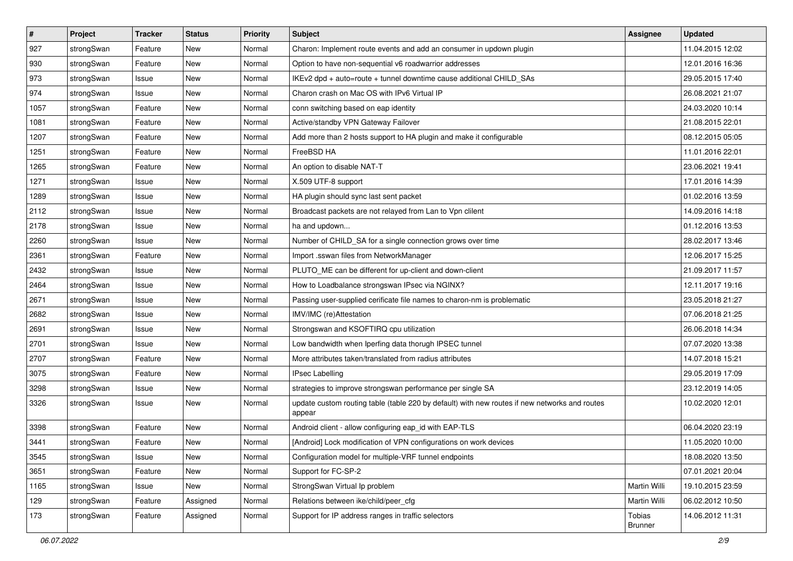| $\sharp$ | Project    | <b>Tracker</b> | <b>Status</b> | Priority | <b>Subject</b>                                                                                          | <b>Assignee</b>          | <b>Updated</b>   |
|----------|------------|----------------|---------------|----------|---------------------------------------------------------------------------------------------------------|--------------------------|------------------|
| 927      | strongSwan | Feature        | New           | Normal   | Charon: Implement route events and add an consumer in updown plugin                                     |                          | 11.04.2015 12:02 |
| 930      | strongSwan | Feature        | New           | Normal   | Option to have non-sequential v6 roadwarrior addresses                                                  |                          | 12.01.2016 16:36 |
| 973      | strongSwan | Issue          | <b>New</b>    | Normal   | IKEv2 dpd + auto=route + tunnel downtime cause additional CHILD_SAs                                     |                          | 29.05.2015 17:40 |
| 974      | strongSwan | Issue          | New           | Normal   | Charon crash on Mac OS with IPv6 Virtual IP                                                             |                          | 26.08.2021 21:07 |
| 1057     | strongSwan | Feature        | <b>New</b>    | Normal   | conn switching based on eap identity                                                                    |                          | 24.03.2020 10:14 |
| 1081     | strongSwan | Feature        | <b>New</b>    | Normal   | Active/standby VPN Gateway Failover                                                                     |                          | 21.08.2015 22:01 |
| 1207     | strongSwan | Feature        | <b>New</b>    | Normal   | Add more than 2 hosts support to HA plugin and make it configurable                                     |                          | 08.12.2015 05:05 |
| 1251     | strongSwan | Feature        | New           | Normal   | FreeBSD HA                                                                                              |                          | 11.01.2016 22:01 |
| 1265     | strongSwan | Feature        | New           | Normal   | An option to disable NAT-T                                                                              |                          | 23.06.2021 19:41 |
| 1271     | strongSwan | Issue          | New           | Normal   | X.509 UTF-8 support                                                                                     |                          | 17.01.2016 14:39 |
| 1289     | strongSwan | Issue          | <b>New</b>    | Normal   | HA plugin should sync last sent packet                                                                  |                          | 01.02.2016 13:59 |
| 2112     | strongSwan | Issue          | New           | Normal   | Broadcast packets are not relayed from Lan to Vpn clilent                                               |                          | 14.09.2016 14:18 |
| 2178     | strongSwan | Issue          | <b>New</b>    | Normal   | ha and updown                                                                                           |                          | 01.12.2016 13:53 |
| 2260     | strongSwan | Issue          | <b>New</b>    | Normal   | Number of CHILD_SA for a single connection grows over time                                              |                          | 28.02.2017 13:46 |
| 2361     | strongSwan | Feature        | New           | Normal   | Import .sswan files from NetworkManager                                                                 |                          | 12.06.2017 15:25 |
| 2432     | strongSwan | Issue          | <b>New</b>    | Normal   | PLUTO_ME can be different for up-client and down-client                                                 |                          | 21.09.2017 11:57 |
| 2464     | strongSwan | Issue          | New           | Normal   | How to Loadbalance strongswan IPsec via NGINX?                                                          |                          | 12.11.2017 19:16 |
| 2671     | strongSwan | Issue          | <b>New</b>    | Normal   | Passing user-supplied cerificate file names to charon-nm is problematic                                 |                          | 23.05.2018 21:27 |
| 2682     | strongSwan | Issue          | <b>New</b>    | Normal   | IMV/IMC (re)Attestation                                                                                 |                          | 07.06.2018 21:25 |
| 2691     | strongSwan | Issue          | New           | Normal   | Strongswan and KSOFTIRQ cpu utilization                                                                 |                          | 26.06.2018 14:34 |
| 2701     | strongSwan | Issue          | New           | Normal   | Low bandwidth when Iperfing data thorugh IPSEC tunnel                                                   |                          | 07.07.2020 13:38 |
| 2707     | strongSwan | Feature        | New           | Normal   | More attributes taken/translated from radius attributes                                                 |                          | 14.07.2018 15:21 |
| 3075     | strongSwan | Feature        | New           | Normal   | <b>IPsec Labelling</b>                                                                                  |                          | 29.05.2019 17:09 |
| 3298     | strongSwan | Issue          | New           | Normal   | strategies to improve strongswan performance per single SA                                              |                          | 23.12.2019 14:05 |
| 3326     | strongSwan | Issue          | New           | Normal   | update custom routing table (table 220 by default) with new routes if new networks and routes<br>appear |                          | 10.02.2020 12:01 |
| 3398     | strongSwan | Feature        | <b>New</b>    | Normal   | Android client - allow configuring eap_id with EAP-TLS                                                  |                          | 06.04.2020 23:19 |
| 3441     | strongSwan | Feature        | <b>New</b>    | Normal   | [Android] Lock modification of VPN configurations on work devices                                       |                          | 11.05.2020 10:00 |
| 3545     | strongSwan | Issue          | New           | Normal   | Configuration model for multiple-VRF tunnel endpoints                                                   |                          | 18.08.2020 13:50 |
| 3651     | strongSwan | Feature        | New           | Normal   | Support for FC-SP-2                                                                                     |                          | 07.01.2021 20:04 |
| 1165     | strongSwan | Issue          | New           | Normal   | StrongSwan Virtual Ip problem                                                                           | Martin Willi             | 19.10.2015 23:59 |
| 129      | strongSwan | Feature        | Assigned      | Normal   | Relations between ike/child/peer_cfg                                                                    | Martin Willi             | 06.02.2012 10:50 |
| 173      | strongSwan | Feature        | Assigned      | Normal   | Support for IP address ranges in traffic selectors                                                      | Tobias<br><b>Brunner</b> | 14.06.2012 11:31 |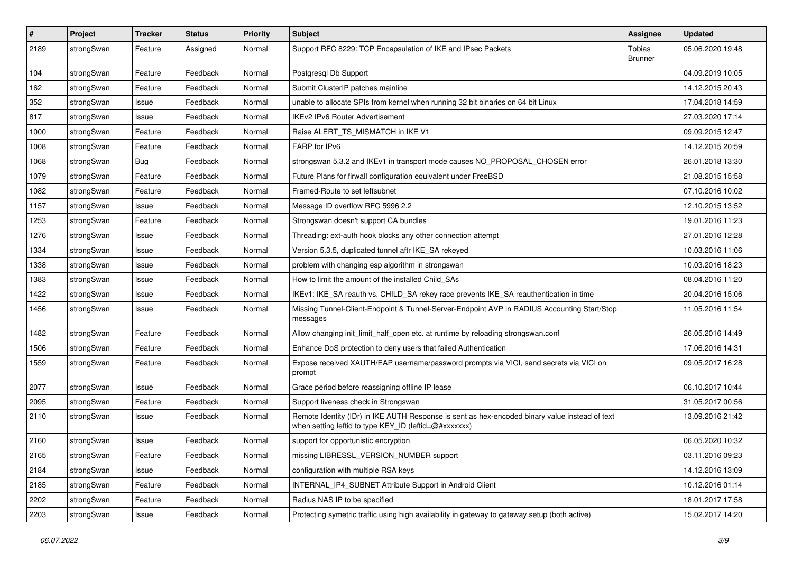| $\sharp$ | Project    | <b>Tracker</b> | <b>Status</b> | <b>Priority</b> | <b>Subject</b>                                                                                                                                          | <b>Assignee</b>          | <b>Updated</b>   |
|----------|------------|----------------|---------------|-----------------|---------------------------------------------------------------------------------------------------------------------------------------------------------|--------------------------|------------------|
| 2189     | strongSwan | Feature        | Assigned      | Normal          | Support RFC 8229: TCP Encapsulation of IKE and IPsec Packets                                                                                            | Tobias<br><b>Brunner</b> | 05.06.2020 19:48 |
| 104      | strongSwan | Feature        | Feedback      | Normal          | Postgresql Db Support                                                                                                                                   |                          | 04.09.2019 10:05 |
| 162      | strongSwan | Feature        | Feedback      | Normal          | Submit ClusterIP patches mainline                                                                                                                       |                          | 14.12.2015 20:43 |
| 352      | strongSwan | Issue          | Feedback      | Normal          | unable to allocate SPIs from kernel when running 32 bit binaries on 64 bit Linux                                                                        |                          | 17.04.2018 14:59 |
| 817      | strongSwan | Issue          | Feedback      | Normal          | <b>IKEv2 IPv6 Router Advertisement</b>                                                                                                                  |                          | 27.03.2020 17:14 |
| 1000     | strongSwan | Feature        | Feedback      | Normal          | Raise ALERT_TS_MISMATCH in IKE V1                                                                                                                       |                          | 09.09.2015 12:47 |
| 1008     | strongSwan | Feature        | Feedback      | Normal          | FARP for IPv6                                                                                                                                           |                          | 14.12.2015 20:59 |
| 1068     | strongSwan | <b>Bug</b>     | Feedback      | Normal          | strongswan 5.3.2 and IKEv1 in transport mode causes NO_PROPOSAL_CHOSEN error                                                                            |                          | 26.01.2018 13:30 |
| 1079     | strongSwan | Feature        | Feedback      | Normal          | Future Plans for firwall configuration equivalent under FreeBSD                                                                                         |                          | 21.08.2015 15:58 |
| 1082     | strongSwan | Feature        | Feedback      | Normal          | Framed-Route to set leftsubnet                                                                                                                          |                          | 07.10.2016 10:02 |
| 1157     | strongSwan | Issue          | Feedback      | Normal          | Message ID overflow RFC 5996 2.2                                                                                                                        |                          | 12.10.2015 13:52 |
| 1253     | strongSwan | Feature        | Feedback      | Normal          | Strongswan doesn't support CA bundles                                                                                                                   |                          | 19.01.2016 11:23 |
| 1276     | strongSwan | Issue          | Feedback      | Normal          | Threading: ext-auth hook blocks any other connection attempt                                                                                            |                          | 27.01.2016 12:28 |
| 1334     | strongSwan | Issue          | Feedback      | Normal          | Version 5.3.5, duplicated tunnel aftr IKE_SA rekeyed                                                                                                    |                          | 10.03.2016 11:06 |
| 1338     | strongSwan | Issue          | Feedback      | Normal          | problem with changing esp algorithm in strongswan                                                                                                       |                          | 10.03.2016 18:23 |
| 1383     | strongSwan | Issue          | Feedback      | Normal          | How to limit the amount of the installed Child SAs                                                                                                      |                          | 08.04.2016 11:20 |
| 1422     | strongSwan | Issue          | Feedback      | Normal          | IKEv1: IKE_SA reauth vs. CHILD_SA rekey race prevents IKE_SA reauthentication in time                                                                   |                          | 20.04.2016 15:06 |
| 1456     | strongSwan | Issue          | Feedback      | Normal          | Missing Tunnel-Client-Endpoint & Tunnel-Server-Endpoint AVP in RADIUS Accounting Start/Stop<br>messages                                                 |                          | 11.05.2016 11:54 |
| 1482     | strongSwan | Feature        | Feedback      | Normal          | Allow changing init_limit_half_open etc. at runtime by reloading strongswan.conf                                                                        |                          | 26.05.2016 14:49 |
| 1506     | strongSwan | Feature        | Feedback      | Normal          | Enhance DoS protection to deny users that failed Authentication                                                                                         |                          | 17.06.2016 14:31 |
| 1559     | strongSwan | Feature        | Feedback      | Normal          | Expose received XAUTH/EAP username/password prompts via VICI, send secrets via VICI on<br>prompt                                                        |                          | 09.05.2017 16:28 |
| 2077     | strongSwan | Issue          | Feedback      | Normal          | Grace period before reassigning offline IP lease                                                                                                        |                          | 06.10.2017 10:44 |
| 2095     | strongSwan | Feature        | Feedback      | Normal          | Support liveness check in Strongswan                                                                                                                    |                          | 31.05.2017 00:56 |
| 2110     | strongSwan | Issue          | Feedback      | Normal          | Remote Identity (IDr) in IKE AUTH Response is sent as hex-encoded binary value instead of text<br>when setting leftid to type KEY_ID (leftid=@#xxxxxxx) |                          | 13.09.2016 21:42 |
| 2160     | strongSwan | Issue          | Feedback      | Normal          | support for opportunistic encryption                                                                                                                    |                          | 06.05.2020 10:32 |
| 2165     | strongSwan | Feature        | Feedback      | Normal          | missing LIBRESSL_VERSION_NUMBER support                                                                                                                 |                          | 03.11.2016 09:23 |
| 2184     | strongSwan | Issue          | Feedback      | Normal          | configuration with multiple RSA keys                                                                                                                    |                          | 14.12.2016 13:09 |
| 2185     | strongSwan | Feature        | Feedback      | Normal          | INTERNAL_IP4_SUBNET Attribute Support in Android Client                                                                                                 |                          | 10.12.2016 01:14 |
| 2202     | strongSwan | Feature        | Feedback      | Normal          | Radius NAS IP to be specified                                                                                                                           |                          | 18.01.2017 17:58 |
| 2203     | strongSwan | Issue          | Feedback      | Normal          | Protecting symetric traffic using high availability in gateway to gateway setup (both active)                                                           |                          | 15.02.2017 14:20 |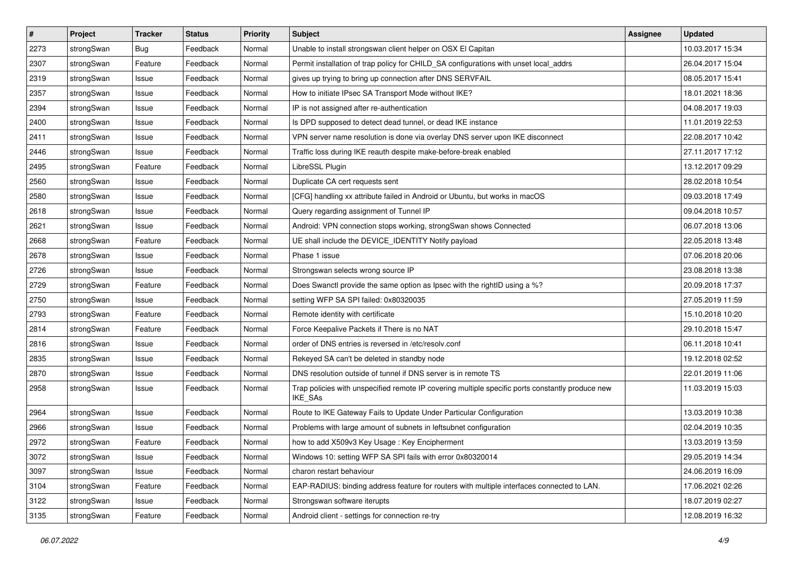| $\pmb{\#}$ | Project    | <b>Tracker</b> | <b>Status</b> | <b>Priority</b> | <b>Subject</b>                                                                                              | Assignee | <b>Updated</b>   |
|------------|------------|----------------|---------------|-----------------|-------------------------------------------------------------------------------------------------------------|----------|------------------|
| 2273       | strongSwan | Bug            | Feedback      | Normal          | Unable to install strongswan client helper on OSX El Capitan                                                |          | 10.03.2017 15:34 |
| 2307       | strongSwan | Feature        | Feedback      | Normal          | Permit installation of trap policy for CHILD_SA configurations with unset local_addrs                       |          | 26.04.2017 15:04 |
| 2319       | strongSwan | Issue          | Feedback      | Normal          | gives up trying to bring up connection after DNS SERVFAIL                                                   |          | 08.05.2017 15:41 |
| 2357       | strongSwan | Issue          | Feedback      | Normal          | How to initiate IPsec SA Transport Mode without IKE?                                                        |          | 18.01.2021 18:36 |
| 2394       | strongSwan | Issue          | Feedback      | Normal          | IP is not assigned after re-authentication                                                                  |          | 04.08.2017 19:03 |
| 2400       | strongSwan | Issue          | Feedback      | Normal          | Is DPD supposed to detect dead tunnel, or dead IKE instance                                                 |          | 11.01.2019 22:53 |
| 2411       | strongSwan | Issue          | Feedback      | Normal          | VPN server name resolution is done via overlay DNS server upon IKE disconnect                               |          | 22.08.2017 10:42 |
| 2446       | strongSwan | Issue          | Feedback      | Normal          | Traffic loss during IKE reauth despite make-before-break enabled                                            |          | 27.11.2017 17:12 |
| 2495       | strongSwan | Feature        | Feedback      | Normal          | LibreSSL Plugin                                                                                             |          | 13.12.2017 09:29 |
| 2560       | strongSwan | Issue          | Feedback      | Normal          | Duplicate CA cert requests sent                                                                             |          | 28.02.2018 10:54 |
| 2580       | strongSwan | Issue          | Feedback      | Normal          | [CFG] handling xx attribute failed in Android or Ubuntu, but works in macOS                                 |          | 09.03.2018 17:49 |
| 2618       | strongSwan | Issue          | Feedback      | Normal          | Query regarding assignment of Tunnel IP                                                                     |          | 09.04.2018 10:57 |
| 2621       | strongSwan | Issue          | Feedback      | Normal          | Android: VPN connection stops working, strongSwan shows Connected                                           |          | 06.07.2018 13:06 |
| 2668       | strongSwan | Feature        | Feedback      | Normal          | UE shall include the DEVICE_IDENTITY Notify payload                                                         |          | 22.05.2018 13:48 |
| 2678       | strongSwan | Issue          | Feedback      | Normal          | Phase 1 issue                                                                                               |          | 07.06.2018 20:06 |
| 2726       | strongSwan | Issue          | Feedback      | Normal          | Strongswan selects wrong source IP                                                                          |          | 23.08.2018 13:38 |
| 2729       | strongSwan | Feature        | Feedback      | Normal          | Does Swanctl provide the same option as Ipsec with the rightID using a %?                                   |          | 20.09.2018 17:37 |
| 2750       | strongSwan | lssue          | Feedback      | Normal          | setting WFP SA SPI failed: 0x80320035                                                                       |          | 27.05.2019 11:59 |
| 2793       | strongSwan | Feature        | Feedback      | Normal          | Remote identity with certificate                                                                            |          | 15.10.2018 10:20 |
| 2814       | strongSwan | Feature        | Feedback      | Normal          | Force Keepalive Packets if There is no NAT                                                                  |          | 29.10.2018 15:47 |
| 2816       | strongSwan | Issue          | Feedback      | Normal          | order of DNS entries is reversed in /etc/resolv.conf                                                        |          | 06.11.2018 10:41 |
| 2835       | strongSwan | Issue          | Feedback      | Normal          | Rekeyed SA can't be deleted in standby node                                                                 |          | 19.12.2018 02:52 |
| 2870       | strongSwan | lssue          | Feedback      | Normal          | DNS resolution outside of tunnel if DNS server is in remote TS                                              |          | 22.01.2019 11:06 |
| 2958       | strongSwan | Issue          | Feedback      | Normal          | Trap policies with unspecified remote IP covering multiple specific ports constantly produce new<br>IKE_SAs |          | 11.03.2019 15:03 |
| 2964       | strongSwan | lssue          | Feedback      | Normal          | Route to IKE Gateway Fails to Update Under Particular Configuration                                         |          | 13.03.2019 10:38 |
| 2966       | strongSwan | Issue          | Feedback      | Normal          | Problems with large amount of subnets in leftsubnet configuration                                           |          | 02.04.2019 10:35 |
| 2972       | strongSwan | Feature        | Feedback      | Normal          | how to add X509v3 Key Usage: Key Encipherment                                                               |          | 13.03.2019 13:59 |
| 3072       | strongSwan | Issue          | Feedback      | Normal          | Windows 10: setting WFP SA SPI fails with error 0x80320014                                                  |          | 29.05.2019 14:34 |
| 3097       | strongSwan | Issue          | Feedback      | Normal          | charon restart behaviour                                                                                    |          | 24.06.2019 16:09 |
| 3104       | strongSwan | Feature        | Feedback      | Normal          | EAP-RADIUS: binding address feature for routers with multiple interfaces connected to LAN.                  |          | 17.06.2021 02:26 |
| 3122       | strongSwan | Issue          | Feedback      | Normal          | Strongswan software iterupts                                                                                |          | 18.07.2019 02:27 |
| 3135       | strongSwan | Feature        | Feedback      | Normal          | Android client - settings for connection re-try                                                             |          | 12.08.2019 16:32 |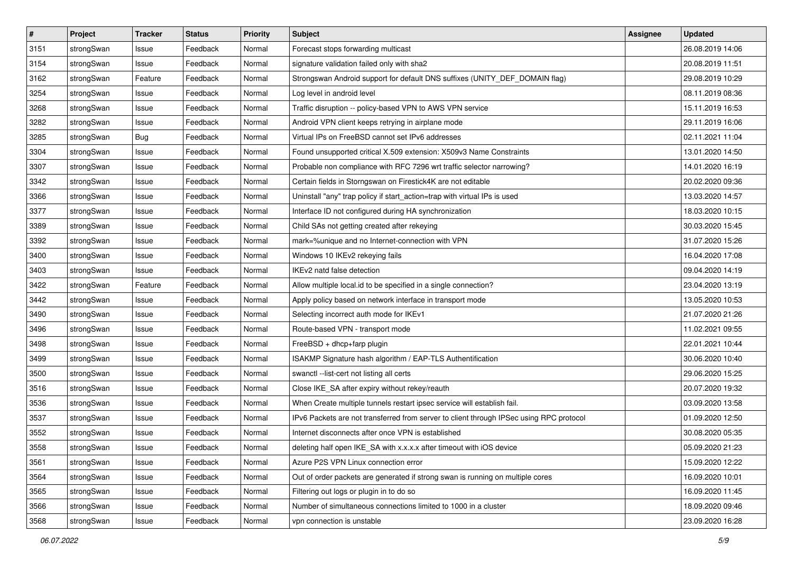| $\pmb{\#}$ | Project    | <b>Tracker</b> | <b>Status</b> | <b>Priority</b> | <b>Subject</b>                                                                          | Assignee | <b>Updated</b>   |
|------------|------------|----------------|---------------|-----------------|-----------------------------------------------------------------------------------------|----------|------------------|
| 3151       | strongSwan | Issue          | Feedback      | Normal          | Forecast stops forwarding multicast                                                     |          | 26.08.2019 14:06 |
| 3154       | strongSwan | Issue          | Feedback      | Normal          | signature validation failed only with sha2                                              |          | 20.08.2019 11:51 |
| 3162       | strongSwan | Feature        | Feedback      | Normal          | Strongswan Android support for default DNS suffixes (UNITY_DEF_DOMAIN flag)             |          | 29.08.2019 10:29 |
| 3254       | strongSwan | Issue          | Feedback      | Normal          | Log level in android level                                                              |          | 08.11.2019 08:36 |
| 3268       | strongSwan | Issue          | Feedback      | Normal          | Traffic disruption -- policy-based VPN to AWS VPN service                               |          | 15.11.2019 16:53 |
| 3282       | strongSwan | Issue          | Feedback      | Normal          | Android VPN client keeps retrying in airplane mode                                      |          | 29.11.2019 16:06 |
| 3285       | strongSwan | Bug            | Feedback      | Normal          | Virtual IPs on FreeBSD cannot set IPv6 addresses                                        |          | 02.11.2021 11:04 |
| 3304       | strongSwan | Issue          | Feedback      | Normal          | Found unsupported critical X.509 extension: X509v3 Name Constraints                     |          | 13.01.2020 14:50 |
| 3307       | strongSwan | Issue          | Feedback      | Normal          | Probable non compliance with RFC 7296 wrt traffic selector narrowing?                   |          | 14.01.2020 16:19 |
| 3342       | strongSwan | Issue          | Feedback      | Normal          | Certain fields in Storngswan on Firestick4K are not editable                            |          | 20.02.2020 09:36 |
| 3366       | strongSwan | Issue          | Feedback      | Normal          | Uninstall "any" trap policy if start_action=trap with virtual IPs is used               |          | 13.03.2020 14:57 |
| 3377       | strongSwan | Issue          | Feedback      | Normal          | Interface ID not configured during HA synchronization                                   |          | 18.03.2020 10:15 |
| 3389       | strongSwan | Issue          | Feedback      | Normal          | Child SAs not getting created after rekeying                                            |          | 30.03.2020 15:45 |
| 3392       | strongSwan | Issue          | Feedback      | Normal          | mark=%unique and no Internet-connection with VPN                                        |          | 31.07.2020 15:26 |
| 3400       | strongSwan | Issue          | Feedback      | Normal          | Windows 10 IKEv2 rekeying fails                                                         |          | 16.04.2020 17:08 |
| 3403       | strongSwan | Issue          | Feedback      | Normal          | IKEv2 natd false detection                                                              |          | 09.04.2020 14:19 |
| 3422       | strongSwan | Feature        | Feedback      | Normal          | Allow multiple local.id to be specified in a single connection?                         |          | 23.04.2020 13:19 |
| 3442       | strongSwan | Issue          | Feedback      | Normal          | Apply policy based on network interface in transport mode                               |          | 13.05.2020 10:53 |
| 3490       | strongSwan | Issue          | Feedback      | Normal          | Selecting incorrect auth mode for IKEv1                                                 |          | 21.07.2020 21:26 |
| 3496       | strongSwan | Issue          | Feedback      | Normal          | Route-based VPN - transport mode                                                        |          | 11.02.2021 09:55 |
| 3498       | strongSwan | Issue          | Feedback      | Normal          | FreeBSD + dhcp+farp plugin                                                              |          | 22.01.2021 10:44 |
| 3499       | strongSwan | Issue          | Feedback      | Normal          | ISAKMP Signature hash algorithm / EAP-TLS Authentification                              |          | 30.06.2020 10:40 |
| 3500       | strongSwan | Issue          | Feedback      | Normal          | swanctl --list-cert not listing all certs                                               |          | 29.06.2020 15:25 |
| 3516       | strongSwan | Issue          | Feedback      | Normal          | Close IKE_SA after expiry without rekey/reauth                                          |          | 20.07.2020 19:32 |
| 3536       | strongSwan | Issue          | Feedback      | Normal          | When Create multiple tunnels restart ipsec service will establish fail.                 |          | 03.09.2020 13:58 |
| 3537       | strongSwan | Issue          | Feedback      | Normal          | IPv6 Packets are not transferred from server to client through IPSec using RPC protocol |          | 01.09.2020 12:50 |
| 3552       | strongSwan | Issue          | Feedback      | Normal          | Internet disconnects after once VPN is established                                      |          | 30.08.2020 05:35 |
| 3558       | strongSwan | Issue          | Feedback      | Normal          | deleting half open IKE_SA with x.x.x.x after timeout with iOS device                    |          | 05.09.2020 21:23 |
| 3561       | strongSwan | Issue          | Feedback      | Normal          | Azure P2S VPN Linux connection error                                                    |          | 15.09.2020 12:22 |
| 3564       | strongSwan | Issue          | Feedback      | Normal          | Out of order packets are generated if strong swan is running on multiple cores          |          | 16.09.2020 10:01 |
| 3565       | strongSwan | Issue          | Feedback      | Normal          | Filtering out logs or plugin in to do so                                                |          | 16.09.2020 11:45 |
| 3566       | strongSwan | Issue          | Feedback      | Normal          | Number of simultaneous connections limited to 1000 in a cluster                         |          | 18.09.2020 09:46 |
| 3568       | strongSwan | Issue          | Feedback      | Normal          | vpn connection is unstable                                                              |          | 23.09.2020 16:28 |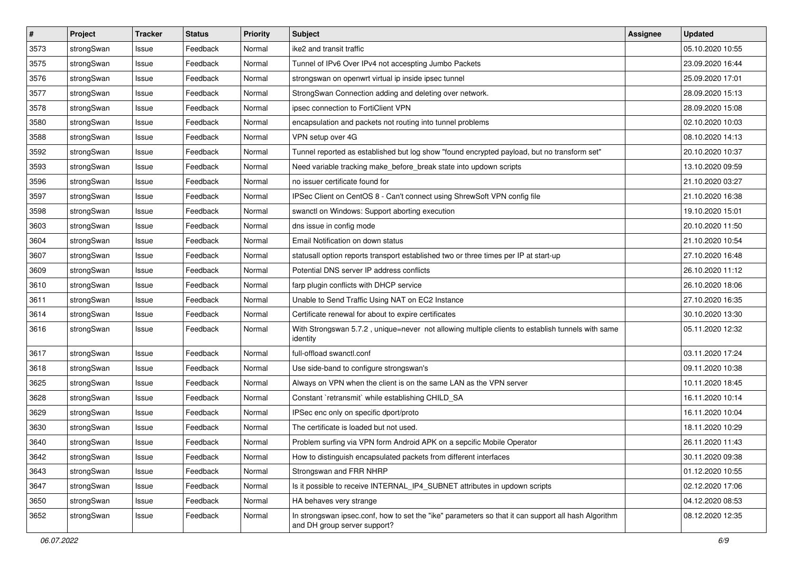| $\pmb{\#}$ | Project    | <b>Tracker</b> | <b>Status</b> | <b>Priority</b> | <b>Subject</b>                                                                                                                      | <b>Assignee</b> | <b>Updated</b>   |
|------------|------------|----------------|---------------|-----------------|-------------------------------------------------------------------------------------------------------------------------------------|-----------------|------------------|
| 3573       | strongSwan | Issue          | Feedback      | Normal          | ike2 and transit traffic                                                                                                            |                 | 05.10.2020 10:55 |
| 3575       | strongSwan | Issue          | Feedback      | Normal          | Tunnel of IPv6 Over IPv4 not accespting Jumbo Packets                                                                               |                 | 23.09.2020 16:44 |
| 3576       | strongSwan | Issue          | Feedback      | Normal          | strongswan on openwrt virtual ip inside ipsec tunnel                                                                                |                 | 25.09.2020 17:01 |
| 3577       | strongSwan | Issue          | Feedback      | Normal          | StrongSwan Connection adding and deleting over network.                                                                             |                 | 28.09.2020 15:13 |
| 3578       | strongSwan | Issue          | Feedback      | Normal          | ipsec connection to FortiClient VPN                                                                                                 |                 | 28.09.2020 15:08 |
| 3580       | strongSwan | Issue          | Feedback      | Normal          | encapsulation and packets not routing into tunnel problems                                                                          |                 | 02.10.2020 10:03 |
| 3588       | strongSwan | Issue          | Feedback      | Normal          | VPN setup over 4G                                                                                                                   |                 | 08.10.2020 14:13 |
| 3592       | strongSwan | Issue          | Feedback      | Normal          | Tunnel reported as established but log show "found encrypted payload, but no transform set"                                         |                 | 20.10.2020 10:37 |
| 3593       | strongSwan | Issue          | Feedback      | Normal          | Need variable tracking make_before_break state into updown scripts                                                                  |                 | 13.10.2020 09:59 |
| 3596       | strongSwan | Issue          | Feedback      | Normal          | no issuer certificate found for                                                                                                     |                 | 21.10.2020 03:27 |
| 3597       | strongSwan | Issue          | Feedback      | Normal          | IPSec Client on CentOS 8 - Can't connect using ShrewSoft VPN config file                                                            |                 | 21.10.2020 16:38 |
| 3598       | strongSwan | Issue          | Feedback      | Normal          | swanctl on Windows: Support aborting execution                                                                                      |                 | 19.10.2020 15:01 |
| 3603       | strongSwan | Issue          | Feedback      | Normal          | dns issue in config mode                                                                                                            |                 | 20.10.2020 11:50 |
| 3604       | strongSwan | Issue          | Feedback      | Normal          | Email Notification on down status                                                                                                   |                 | 21.10.2020 10:54 |
| 3607       | strongSwan | Issue          | Feedback      | Normal          | statusall option reports transport established two or three times per IP at start-up                                                |                 | 27.10.2020 16:48 |
| 3609       | strongSwan | Issue          | Feedback      | Normal          | Potential DNS server IP address conflicts                                                                                           |                 | 26.10.2020 11:12 |
| 3610       | strongSwan | Issue          | Feedback      | Normal          | farp plugin conflicts with DHCP service                                                                                             |                 | 26.10.2020 18:06 |
| 3611       | strongSwan | Issue          | Feedback      | Normal          | Unable to Send Traffic Using NAT on EC2 Instance                                                                                    |                 | 27.10.2020 16:35 |
| 3614       | strongSwan | Issue          | Feedback      | Normal          | Certificate renewal for about to expire certificates                                                                                |                 | 30.10.2020 13:30 |
| 3616       | strongSwan | Issue          | Feedback      | Normal          | With Strongswan 5.7.2, unique=never not allowing multiple clients to establish tunnels with same<br>identity                        |                 | 05.11.2020 12:32 |
| 3617       | strongSwan | Issue          | Feedback      | Normal          | full-offload swanctl.conf                                                                                                           |                 | 03.11.2020 17:24 |
| 3618       | strongSwan | Issue          | Feedback      | Normal          | Use side-band to configure strongswan's                                                                                             |                 | 09.11.2020 10:38 |
| 3625       | strongSwan | Issue          | Feedback      | Normal          | Always on VPN when the client is on the same LAN as the VPN server                                                                  |                 | 10.11.2020 18:45 |
| 3628       | strongSwan | Issue          | Feedback      | Normal          | Constant `retransmit` while establishing CHILD_SA                                                                                   |                 | 16.11.2020 10:14 |
| 3629       | strongSwan | Issue          | Feedback      | Normal          | IPSec enc only on specific dport/proto                                                                                              |                 | 16.11.2020 10:04 |
| 3630       | strongSwan | Issue          | Feedback      | Normal          | The certificate is loaded but not used.                                                                                             |                 | 18.11.2020 10:29 |
| 3640       | strongSwan | Issue          | Feedback      | Normal          | Problem surfing via VPN form Android APK on a sepcific Mobile Operator                                                              |                 | 26.11.2020 11:43 |
| 3642       | strongSwan | Issue          | Feedback      | Normal          | How to distinguish encapsulated packets from different interfaces                                                                   |                 | 30.11.2020 09:38 |
| 3643       | strongSwan | Issue          | Feedback      | Normal          | Strongswan and FRR NHRP                                                                                                             |                 | 01.12.2020 10:55 |
| 3647       | strongSwan | Issue          | Feedback      | Normal          | Is it possible to receive INTERNAL_IP4_SUBNET attributes in updown scripts                                                          |                 | 02.12.2020 17:06 |
| 3650       | strongSwan | Issue          | Feedback      | Normal          | HA behaves very strange                                                                                                             |                 | 04.12.2020 08:53 |
| 3652       | strongSwan | Issue          | Feedback      | Normal          | In strongswan ipsec.conf, how to set the "ike" parameters so that it can support all hash Algorithm<br>and DH group server support? |                 | 08.12.2020 12:35 |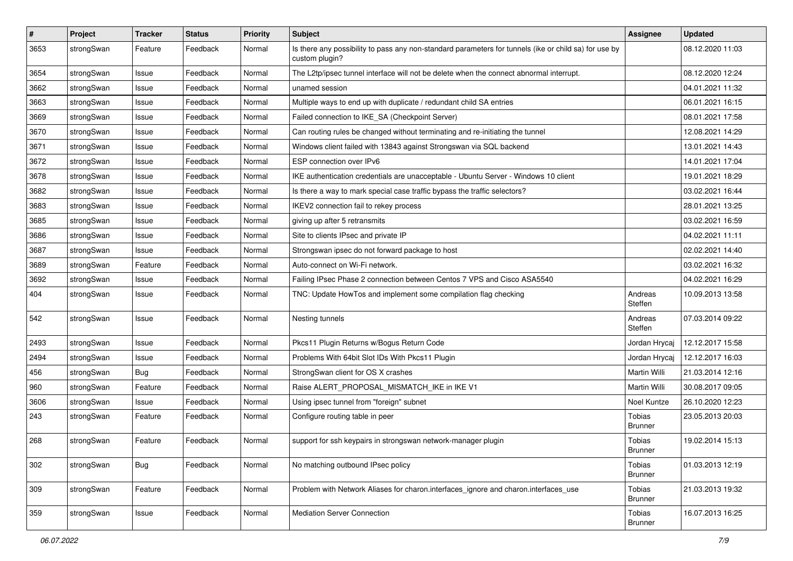| $\sharp$ | Project    | <b>Tracker</b> | <b>Status</b> | <b>Priority</b> | <b>Subject</b>                                                                                                          | <b>Assignee</b>          | <b>Updated</b>   |
|----------|------------|----------------|---------------|-----------------|-------------------------------------------------------------------------------------------------------------------------|--------------------------|------------------|
| 3653     | strongSwan | Feature        | Feedback      | Normal          | Is there any possibility to pass any non-standard parameters for tunnels (ike or child sa) for use by<br>custom plugin? |                          | 08.12.2020 11:03 |
| 3654     | strongSwan | Issue          | Feedback      | Normal          | The L2tp/ipsec tunnel interface will not be delete when the connect abnormal interrupt.                                 |                          | 08.12.2020 12:24 |
| 3662     | strongSwan | Issue          | Feedback      | Normal          | unamed session                                                                                                          |                          | 04.01.2021 11:32 |
| 3663     | strongSwan | Issue          | Feedback      | Normal          | Multiple ways to end up with duplicate / redundant child SA entries                                                     |                          | 06.01.2021 16:15 |
| 3669     | strongSwan | Issue          | Feedback      | Normal          | Failed connection to IKE_SA (Checkpoint Server)                                                                         |                          | 08.01.2021 17:58 |
| 3670     | strongSwan | Issue          | Feedback      | Normal          | Can routing rules be changed without terminating and re-initiating the tunnel                                           |                          | 12.08.2021 14:29 |
| 3671     | strongSwan | Issue          | Feedback      | Normal          | Windows client failed with 13843 against Strongswan via SQL backend                                                     |                          | 13.01.2021 14:43 |
| 3672     | strongSwan | Issue          | Feedback      | Normal          | ESP connection over IPv6                                                                                                |                          | 14.01.2021 17:04 |
| 3678     | strongSwan | Issue          | Feedback      | Normal          | IKE authentication credentials are unacceptable - Ubuntu Server - Windows 10 client                                     |                          | 19.01.2021 18:29 |
| 3682     | strongSwan | Issue          | Feedback      | Normal          | Is there a way to mark special case traffic bypass the traffic selectors?                                               |                          | 03.02.2021 16:44 |
| 3683     | strongSwan | Issue          | Feedback      | Normal          | IKEV2 connection fail to rekey process                                                                                  |                          | 28.01.2021 13:25 |
| 3685     | strongSwan | Issue          | Feedback      | Normal          | giving up after 5 retransmits                                                                                           |                          | 03.02.2021 16:59 |
| 3686     | strongSwan | Issue          | Feedback      | Normal          | Site to clients IPsec and private IP                                                                                    |                          | 04.02.2021 11:11 |
| 3687     | strongSwan | Issue          | Feedback      | Normal          | Strongswan ipsec do not forward package to host                                                                         |                          | 02.02.2021 14:40 |
| 3689     | strongSwan | Feature        | Feedback      | Normal          | Auto-connect on Wi-Fi network.                                                                                          |                          | 03.02.2021 16:32 |
| 3692     | strongSwan | Issue          | Feedback      | Normal          | Failing IPsec Phase 2 connection between Centos 7 VPS and Cisco ASA5540                                                 |                          | 04.02.2021 16:29 |
| 404      | strongSwan | Issue          | Feedback      | Normal          | TNC: Update HowTos and implement some compilation flag checking                                                         | Andreas<br>Steffen       | 10.09.2013 13:58 |
| 542      | strongSwan | Issue          | Feedback      | Normal          | Nesting tunnels                                                                                                         | Andreas<br>Steffen       | 07.03.2014 09:22 |
| 2493     | strongSwan | Issue          | Feedback      | Normal          | Pkcs11 Plugin Returns w/Bogus Return Code                                                                               | Jordan Hrycaj            | 12.12.2017 15:58 |
| 2494     | strongSwan | Issue          | Feedback      | Normal          | Problems With 64bit Slot IDs With Pkcs11 Plugin                                                                         | Jordan Hrycaj            | 12.12.2017 16:03 |
| 456      | strongSwan | <b>Bug</b>     | Feedback      | Normal          | StrongSwan client for OS X crashes                                                                                      | Martin Willi             | 21.03.2014 12:16 |
| 960      | strongSwan | Feature        | Feedback      | Normal          | Raise ALERT_PROPOSAL_MISMATCH_IKE in IKE V1                                                                             | <b>Martin Willi</b>      | 30.08.2017 09:05 |
| 3606     | strongSwan | Issue          | Feedback      | Normal          | Using ipsec tunnel from "foreign" subnet                                                                                | Noel Kuntze              | 26.10.2020 12:23 |
| 243      | strongSwan | Feature        | Feedback      | Normal          | Configure routing table in peer                                                                                         | Tobias<br><b>Brunner</b> | 23.05.2013 20:03 |
| 268      | strongSwan | Feature        | Feedback      | Normal          | support for ssh keypairs in strongswan network-manager plugin                                                           | Tobias<br><b>Brunner</b> | 19.02.2014 15:13 |
| 302      | strongSwan | <b>Bug</b>     | Feedback      | Normal          | No matching outbound IPsec policy                                                                                       | Tobias<br><b>Brunner</b> | 01.03.2013 12:19 |
| 309      | strongSwan | Feature        | Feedback      | Normal          | Problem with Network Aliases for charon.interfaces_ignore and charon.interfaces_use                                     | Tobias<br><b>Brunner</b> | 21.03.2013 19:32 |
| 359      | strongSwan | Issue          | Feedback      | Normal          | <b>Mediation Server Connection</b>                                                                                      | Tobias<br><b>Brunner</b> | 16.07.2013 16:25 |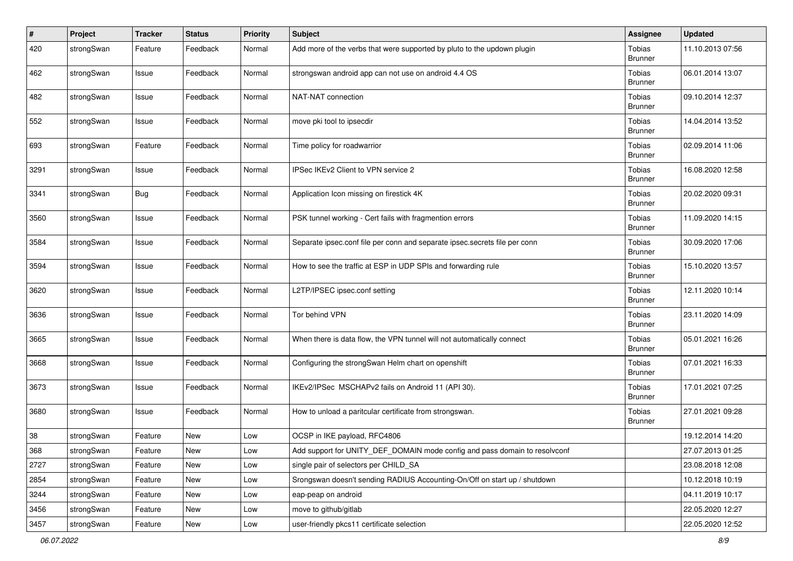| $\#$ | Project    | <b>Tracker</b> | <b>Status</b> | <b>Priority</b> | <b>Subject</b>                                                             | <b>Assignee</b>          | <b>Updated</b>   |
|------|------------|----------------|---------------|-----------------|----------------------------------------------------------------------------|--------------------------|------------------|
| 420  | strongSwan | Feature        | Feedback      | Normal          | Add more of the verbs that were supported by pluto to the updown plugin    | Tobias<br><b>Brunner</b> | 11.10.2013 07:56 |
| 462  | strongSwan | Issue          | Feedback      | Normal          | strongswan android app can not use on android 4.4 OS                       | Tobias<br><b>Brunner</b> | 06.01.2014 13:07 |
| 482  | strongSwan | Issue          | Feedback      | Normal          | NAT-NAT connection                                                         | Tobias<br><b>Brunner</b> | 09.10.2014 12:37 |
| 552  | strongSwan | Issue          | Feedback      | Normal          | move pki tool to ipsecdir                                                  | Tobias<br><b>Brunner</b> | 14.04.2014 13:52 |
| 693  | strongSwan | Feature        | Feedback      | Normal          | Time policy for roadwarrior                                                | Tobias<br><b>Brunner</b> | 02.09.2014 11:06 |
| 3291 | strongSwan | Issue          | Feedback      | Normal          | IPSec IKEv2 Client to VPN service 2                                        | Tobias<br><b>Brunner</b> | 16.08.2020 12:58 |
| 3341 | strongSwan | Bug            | Feedback      | Normal          | Application Icon missing on firestick 4K                                   | Tobias<br><b>Brunner</b> | 20.02.2020 09:31 |
| 3560 | strongSwan | Issue          | Feedback      | Normal          | PSK tunnel working - Cert fails with fragmention errors                    | Tobias<br><b>Brunner</b> | 11.09.2020 14:15 |
| 3584 | strongSwan | Issue          | Feedback      | Normal          | Separate ipsec.conf file per conn and separate ipsec.secrets file per conn | Tobias<br><b>Brunner</b> | 30.09.2020 17:06 |
| 3594 | strongSwan | Issue          | Feedback      | Normal          | How to see the traffic at ESP in UDP SPIs and forwarding rule              | Tobias<br><b>Brunner</b> | 15.10.2020 13:57 |
| 3620 | strongSwan | Issue          | Feedback      | Normal          | L2TP/IPSEC ipsec.conf setting                                              | Tobias<br><b>Brunner</b> | 12.11.2020 10:14 |
| 3636 | strongSwan | Issue          | Feedback      | Normal          | Tor behind VPN                                                             | Tobias<br><b>Brunner</b> | 23.11.2020 14:09 |
| 3665 | strongSwan | Issue          | Feedback      | Normal          | When there is data flow, the VPN tunnel will not automatically connect     | Tobias<br><b>Brunner</b> | 05.01.2021 16:26 |
| 3668 | strongSwan | Issue          | Feedback      | Normal          | Configuring the strongSwan Helm chart on openshift                         | Tobias<br><b>Brunner</b> | 07.01.2021 16:33 |
| 3673 | strongSwan | Issue          | Feedback      | Normal          | IKEv2/IPSec MSCHAPv2 fails on Android 11 (API 30).                         | Tobias<br><b>Brunner</b> | 17.01.2021 07:25 |
| 3680 | strongSwan | Issue          | Feedback      | Normal          | How to unload a paritcular certificate from strongswan.                    | Tobias<br><b>Brunner</b> | 27.01.2021 09:28 |
| 38   | strongSwan | Feature        | New           | Low             | OCSP in IKE payload, RFC4806                                               |                          | 19.12.2014 14:20 |
| 368  | strongSwan | Feature        | New           | Low             | Add support for UNITY_DEF_DOMAIN mode config and pass domain to resolvconf |                          | 27.07.2013 01:25 |
| 2727 | strongSwan | Feature        | New           | Low             | single pair of selectors per CHILD SA                                      |                          | 23.08.2018 12:08 |
| 2854 | strongSwan | Feature        | New           | Low             | Srongswan doesn't sending RADIUS Accounting-On/Off on start up / shutdown  |                          | 10.12.2018 10:19 |
| 3244 | strongSwan | Feature        | New           | Low             | eap-peap on android                                                        |                          | 04.11.2019 10:17 |
| 3456 | strongSwan | Feature        | New           | Low             | move to github/gitlab                                                      |                          | 22.05.2020 12:27 |
| 3457 | strongSwan | Feature        | New           | Low             | user-friendly pkcs11 certificate selection                                 |                          | 22.05.2020 12:52 |